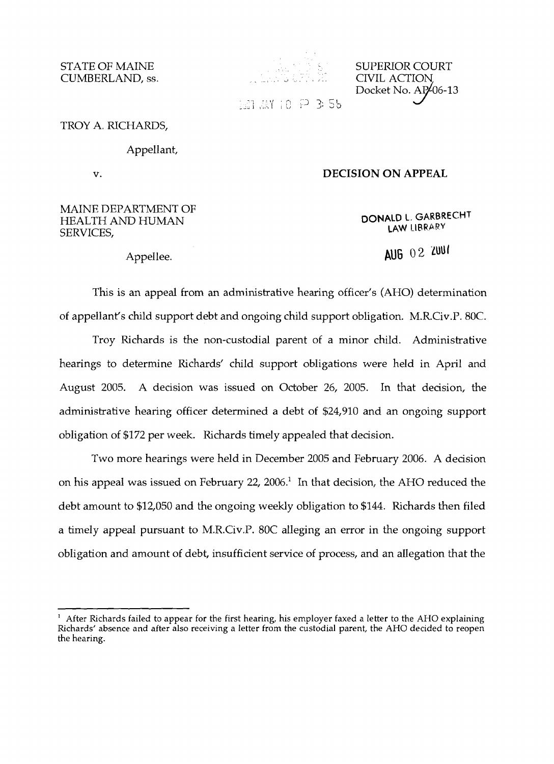CUMBERLAND, ss.



STATE OF MAINE SUPERIOR COURT **Docket No. AP 406-13**<br>1. **Let 10**  $\overrightarrow{P}$  **3 5 b** 

TROY A. RICHARDS,

## Appellant,

## v. **DECISION ON APPEAL**

# MAINE DEPARTMENT OF **DONALD L. GARBRECHT**<br>SERVICES, **LAW LIBRARY**

Appellee. **AUG** 02 **zuut**

This is an appeal from an administrative hearing officer's (AHO) determination of appellant's child support debt and ongoing child support obligation. M.R.Civ.P.80C.

Troy Richards is the non-custodial parent of a minor child. Administrative hearings to determine Richards' child support obligations were held in April and August 2005. A decision was issued on October 26, 2005. In that decision, the administrative hearing officer determined a debt of \$24,910 and an ongoing support obligation of \$172 per week. Richards timely appealed that decision.

Two more hearings were held in December 2005 and February 2006. A decision on his appeal was issued on February 22, 2006.<sup>1</sup> In that decision, the AHO reduced the debt amount to \$12,050 and the ongoing weekly obligation to \$144. Richards then filed a timely appeal pursuant to M.R.Civ.P. 80C alleging an error in the ongoing support obligation and amount of debt, insufficient service of process, and an allegation that the

After Richards failed to appear for the first hearing, his employer faxed a letter to the AHO explaining Thart are seen and after also receiving a letter from the custodial parent, the AHO decided to reopen and after also receiving a letter from the custodial parent, the AHO decided to reopen the hearing.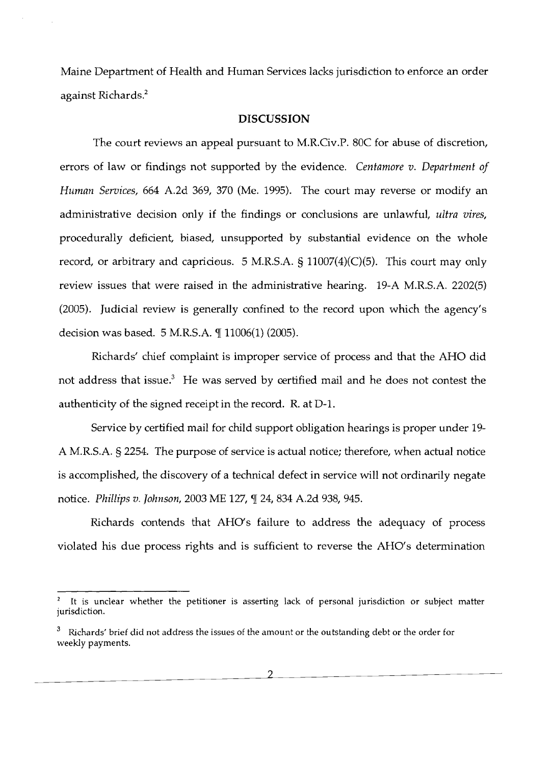Maine Department of Health and Human Services lacks jurisdiction to enforce an order against Richards?

### **DISCUSSION**

The court reviews an appeal pursuant to M.R.Civ.P. 80C for abuse of discretion, errors of law or findings not supported by the evidence. *Centamore v. Department of Human Services,* 664 A.2d 369, 370 (Me. 1995). The court may reverse or modify an administrative decision only if the findings or conclusions are unlawful, *ultra vires,*  procedurally deficient, biased, unsupported by substantial evidence on the whole record, or arbitrary and capricious. 5 M.R.S.A.  $\S$  11007(4)(C)(5). This court may only review issues that were raised in the administrative hearing. 19-A M.R.S.A. 2202(5) (2005). Judicial review is generally confined to the record upon which the agency's decision was based. 5 M.R.S.A.  $\P$  11006(1) (2005).

Richards' chief complaint is improper service of process and that the AHO did not address that issue.<sup>3</sup> He was served by certified mail and he does not contest the authenticity of the signed receipt in the record. R. at D-l.

Service by certified mail for child support obligation hearings is proper under 19 A M.R.S.A. § 2254. The purpose of service is actual notice; therefore, when actual notice is accomplished, the discovery of a technical defect in service will not ordinarily negate notice. *Phillips v. Johnson,* 2003 ME 127, 1 24, 834 A.2d 938, 945.

Richards contends that AHO's failure to address the adequacy of process violated his due process rights and is sufficient to reverse the AHO's determination

It is unclear whether the petitioner is asserting lack of personal jurisdiction or subject matter jurisdiction.

Richards' brief did not address the issues of the amount or the outstanding debt or the order for weekly payments.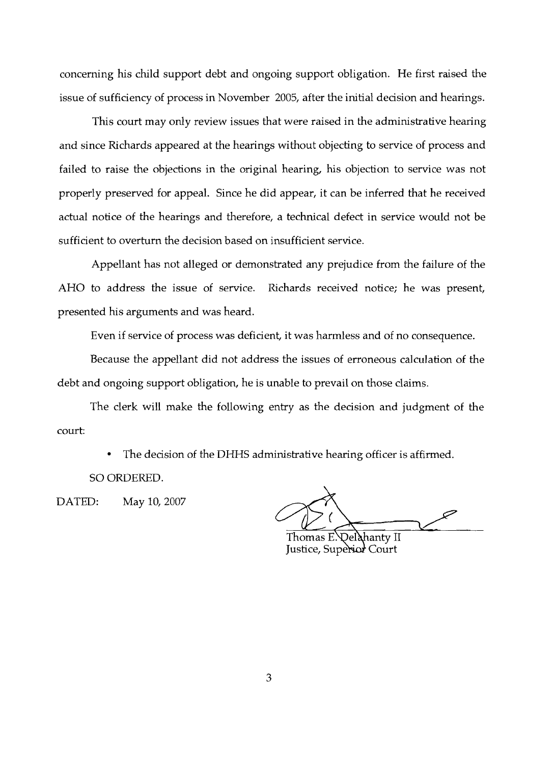concerning his child support debt and ongoing support obligation. He first raised the issue of sufficiency of process in November 2005, after the initial decision and hearings.

This court may only review issues that were raised in the administrative hearing and since Richards appeared at the hearings without objecting to service of process and failed to raise the objections in the original hearing, his objection to service was not properly preserved for appeal. Since he did appear, it can be inferred that he received actual notice of the hearings and therefore, a technical defect in service would not be sufficient to overturn the decision based on insufficient service.

Appellant has not alleged or demonstrated any prejudice from the failure of the AHO to address the issue of service. Richards received notice; he was present, presented his arguments and was heard.

Even if service of process was deficient, it was harmless and of no consequence.

Because the appellant did not address the issues of erroneous calculation of the debt and ongoing support obligation, he is unable to prevail on those claims.

The clerk will make the following entry as the decision and judgment of the court:

The decision of the DHHS administrative hearing officer is affirmed.

SO ORDERED.

DATED: May 10, 2007

Thomas E. Del**à**hanty II Justice, Superior Court